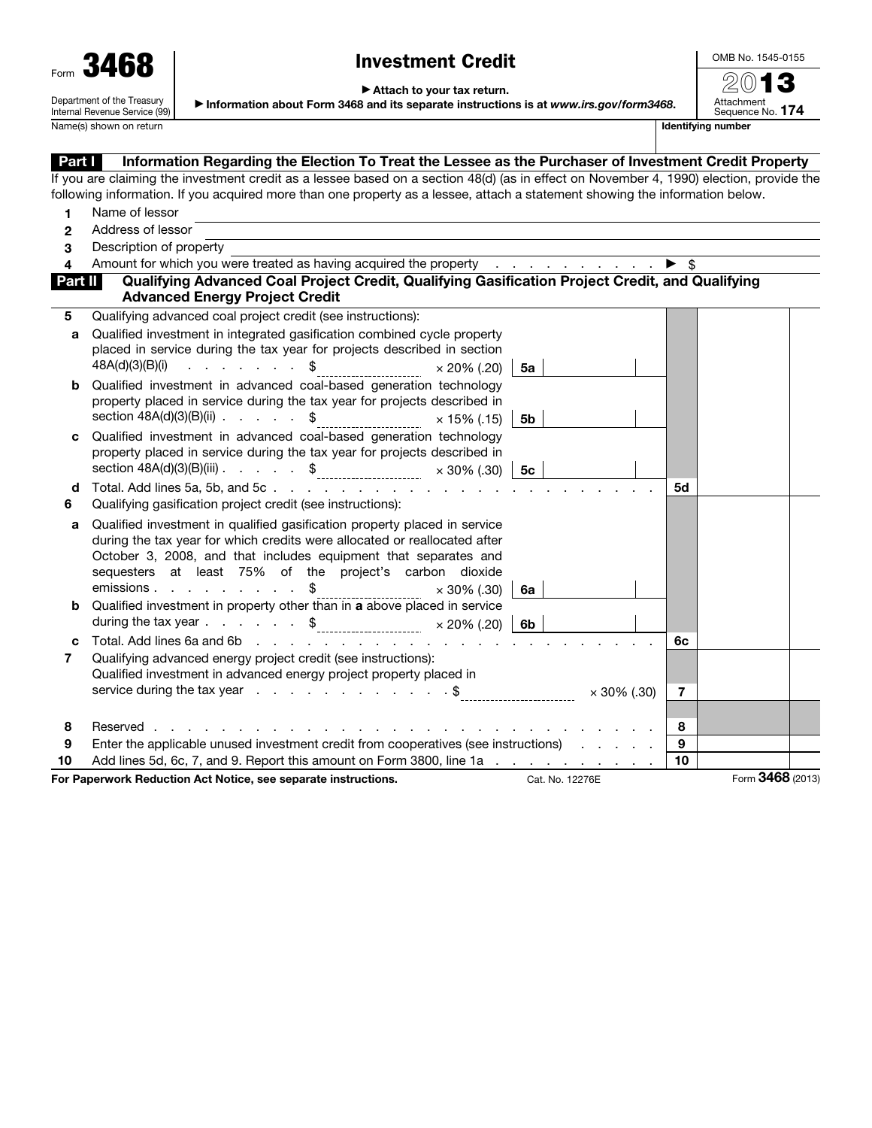| Form | 3461                       |
|------|----------------------------|
|      | Department of the Treasury |

Internal Revenue Service (99)

## Investment Credit

OMB No. 1545-0155

▶ Attach to your tax return.

▶ Information about Form 3468 and its separate instructions is at *www.irs.gov/form3468*.

 $20$ Attachment Sequence No. 174 Name(s) shown on return in the state of the state of the state of the state of the state of the state of the state of the state of the state of the state of the state of the state of the state of the state of the state of

Part I Information Regarding the Election To Treat the Lessee as the Purchaser of Investment Credit Property If you are claiming the investment credit as a lessee based on a section 48(d) (as in effect on November 4, 1990) election, provide the following information. If you acquired more than one property as a lessee, attach a statement showing the information below. 1 Name of lessor 2 Address of lessor 3 Description of property 4 Amount for which you were treated as having acquired the property  $\cdots$  . . . . . . .  $\blacktriangleright$  \$ Part II Qualifying Advanced Coal Project Credit, Qualifying Gasification Project Credit, and Qualifying Advanced Energy Project Credit 5 Qualifying advanced coal project credit (see instructions): a Qualified investment in integrated gasification combined cycle property placed in service during the tax year for projects described in section 48A(d)(3)(B)(i) . . . . . . . \$ × 20% (.20) 5a **b** Qualified investment in advanced coal-based generation technology property placed in service during the tax year for projects described in section  $48A(d)(3)(B)(ii)$  . . . . \$ c Qualified investment in advanced coal-based generation technology property placed in service during the tax year for projects described in section 48A(d)(3)(B)(iii) . . . . . \$ × 30% (.30) 5c d Total. Add lines 5a, 5b, and 5c . . . . . . . . . . . . . . . . . . . . . . . 5d 6 Qualifying gasification project credit (see instructions): a Qualified investment in qualified gasification property placed in service during the tax year for which credits were allocated or reallocated after October 3, 2008, and that includes equipment that separates and sequesters at least 75% of the project's carbon dioxide emissions . . . . . . . . . \$ 30% (.30) 6a **b** Qualified investment in property other than in a above placed in service during the tax year . . . . . .  $\frac{1}{2}$   $\frac{1}{20}$   $\times$  20% (.20) 6b c Total. Add lines 6a and 6b . . . . . . . . . . . . . . . . . . . . . . . . 6c 7 Qualifying advanced energy project credit (see instructions): Qualified investment in advanced energy project property placed in service during the tax year . . . . . . . . . . . . \$ × 30% (.30) 7 8 Reserved . . . . . . . . . . . . . . . . . . . . . . . . . . . . . . 8 9 Enter the applicable unused investment credit from cooperatives (see instructions) . . . . . | 9 10 Add lines 5d, 6c, 7, and 9. Report this amount on Form 3800, line 1a  $\ldots$  . . . . . . . . 10 For Paperwork Reduction Act Notice, see separate instructions. Cat. No. 12276E Form 3468 (2013)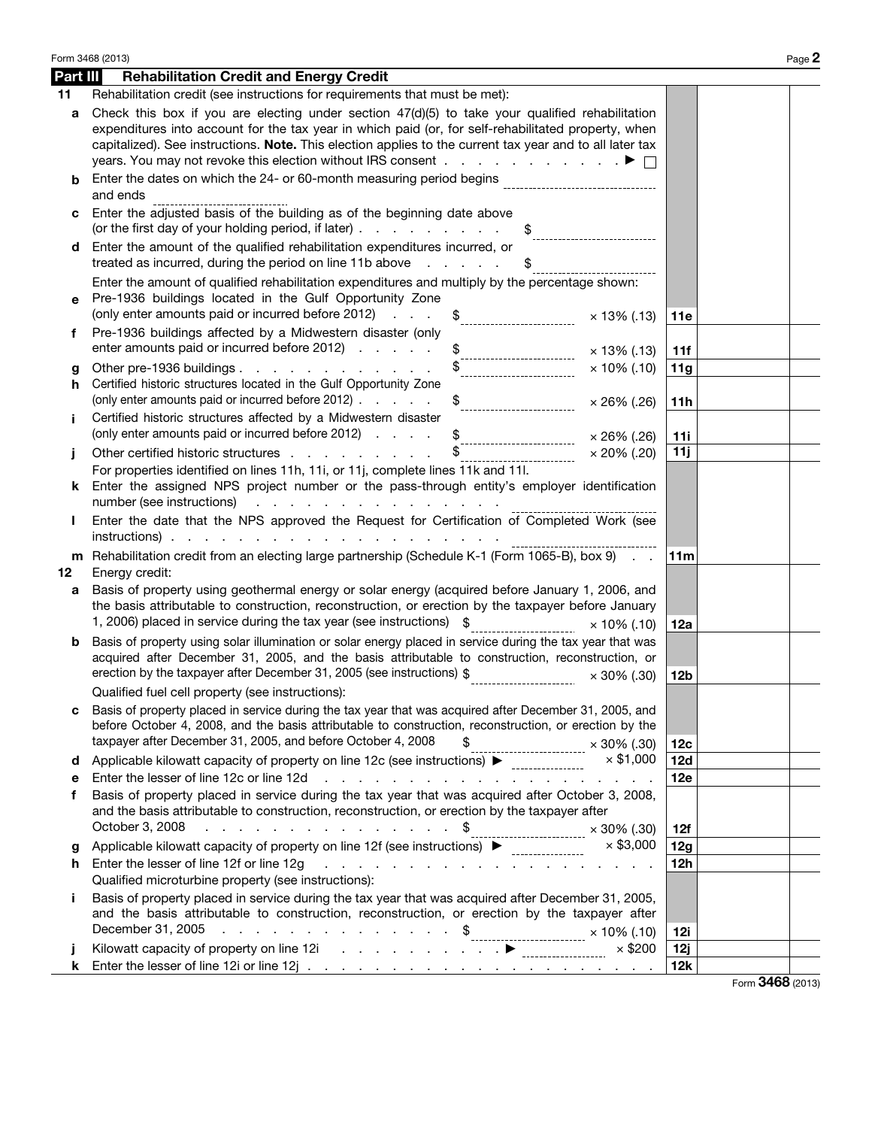|          | Form 3468 (2013)                                                                                                                                                                                                                                                                                                                                                                                                                                                                                                                                          |                 | Page 2           |
|----------|-----------------------------------------------------------------------------------------------------------------------------------------------------------------------------------------------------------------------------------------------------------------------------------------------------------------------------------------------------------------------------------------------------------------------------------------------------------------------------------------------------------------------------------------------------------|-----------------|------------------|
| Part III | <b>Rehabilitation Credit and Energy Credit</b>                                                                                                                                                                                                                                                                                                                                                                                                                                                                                                            |                 |                  |
| 11       | Rehabilitation credit (see instructions for requirements that must be met):                                                                                                                                                                                                                                                                                                                                                                                                                                                                               |                 |                  |
| a        | Check this box if you are electing under section $47(d)(5)$ to take your qualified rehabilitation<br>expenditures into account for the tax year in which paid (or, for self-rehabilitated property, when<br>capitalized). See instructions. Note. This election applies to the current tax year and to all later tax<br>years. You may not revoke this election without IRS consent $\ldots$ ,                                                                                                                                                            |                 |                  |
| b        | Enter the dates on which the 24- or 60-month measuring period begins                                                                                                                                                                                                                                                                                                                                                                                                                                                                                      |                 |                  |
|          | and ends                                                                                                                                                                                                                                                                                                                                                                                                                                                                                                                                                  |                 |                  |
|          | Enter the adjusted basis of the building as of the beginning date above<br>(or the first day of your holding period, if later)<br>\$                                                                                                                                                                                                                                                                                                                                                                                                                      |                 |                  |
| d        | Enter the amount of the qualified rehabilitation expenditures incurred, or<br>treated as incurred, during the period on line 11b above<br><b>Service Control</b><br>\$                                                                                                                                                                                                                                                                                                                                                                                    |                 |                  |
|          | Enter the amount of qualified rehabilitation expenditures and multiply by the percentage shown:                                                                                                                                                                                                                                                                                                                                                                                                                                                           |                 |                  |
| е        | Pre-1936 buildings located in the Gulf Opportunity Zone                                                                                                                                                                                                                                                                                                                                                                                                                                                                                                   |                 |                  |
|          | (only enter amounts paid or incurred before 2012)<br>\$<br><b>Contractor</b><br>$\times$ 13% (.13)                                                                                                                                                                                                                                                                                                                                                                                                                                                        | <b>11e</b>      |                  |
| f.       | Pre-1936 buildings affected by a Midwestern disaster (only<br>enter amounts paid or incurred before 2012)                                                                                                                                                                                                                                                                                                                                                                                                                                                 |                 |                  |
|          | × 13% (.13)                                                                                                                                                                                                                                                                                                                                                                                                                                                                                                                                               | 11f             |                  |
| g<br>h.  | Other pre-1936 buildings<br>$\times$ 10% (.10)<br>Certified historic structures located in the Gulf Opportunity Zone                                                                                                                                                                                                                                                                                                                                                                                                                                      | 11g             |                  |
|          | (only enter amounts paid or incurred before 2012)<br>$\frac{1}{2}$<br>$\times$ 26% (.26)                                                                                                                                                                                                                                                                                                                                                                                                                                                                  | 11h             |                  |
| Ť.       | Certified historic structures affected by a Midwestern disaster                                                                                                                                                                                                                                                                                                                                                                                                                                                                                           |                 |                  |
|          | (only enter amounts paid or incurred before 2012)<br>$\times$ 26% (.26)<br>--------------------------                                                                                                                                                                                                                                                                                                                                                                                                                                                     | 11i             |                  |
|          | Other certified historic structures<br>$\times$ 20% (.20)                                                                                                                                                                                                                                                                                                                                                                                                                                                                                                 | 11j             |                  |
|          | For properties identified on lines 11h, 11i, or 11j, complete lines 11k and 11l.<br>Enter the assigned NPS project number or the pass-through entity's employer identification<br>number (see instructions)<br>the contract of the contract of the contract of                                                                                                                                                                                                                                                                                            |                 |                  |
|          | Enter the date that the NPS approved the Request for Certification of Completed Work (see<br>$instructions)$ .                                                                                                                                                                                                                                                                                                                                                                                                                                            |                 |                  |
|          | m Rehabilitation credit from an electing large partnership (Schedule K-1 (Form 1065-B), box 9)                                                                                                                                                                                                                                                                                                                                                                                                                                                            | 11 <sub>m</sub> |                  |
| 12       | Energy credit:                                                                                                                                                                                                                                                                                                                                                                                                                                                                                                                                            |                 |                  |
| a        | Basis of property using geothermal energy or solar energy (acquired before January 1, 2006, and<br>the basis attributable to construction, reconstruction, or erection by the taxpayer before January<br>1, 2006) placed in service during the tax year (see instructions) \$<br>$\times$ 10% (.10)                                                                                                                                                                                                                                                       | 12a             |                  |
| b        | Basis of property using solar illumination or solar energy placed in service during the tax year that was<br>acquired after December 31, 2005, and the basis attributable to construction, reconstruction, or<br>erection by the taxpayer after December 31, 2005 (see instructions) \$<br>$\times$ 30% (.30)                                                                                                                                                                                                                                             | 12b             |                  |
|          | Qualified fuel cell property (see instructions):                                                                                                                                                                                                                                                                                                                                                                                                                                                                                                          |                 |                  |
| с        | Basis of property placed in service during the tax year that was acquired after December 31, 2005, and<br>before October 4, 2008, and the basis attributable to construction, reconstruction, or erection by the<br>taxpayer after December 31, 2005, and before October 4, 2008<br>\$<br>$\times$ 30% (.30)<br>--------------------------                                                                                                                                                                                                                | 12c             |                  |
| d        | $\times$ \$1,000<br>Applicable kilowatt capacity of property on line 12c (see instructions) ▶                                                                                                                                                                                                                                                                                                                                                                                                                                                             | 12d             |                  |
| е        | Enter the lesser of line 12c or line 12d<br>.                                                                                                                                                                                                                                                                                                                                                                                                                                                                                                             | 12e             |                  |
| f        | Basis of property placed in service during the tax year that was acquired after October 3, 2008,<br>and the basis attributable to construction, reconstruction, or erection by the taxpayer after<br>October 3, 2008<br>. \$<br>$\times$ 30% (.30)                                                                                                                                                                                                                                                                                                        | 12f             |                  |
| g        | ---------------------------<br>Applicable kilowatt capacity of property on line 12f (see instructions) ▶<br>$\times$ \$3,000                                                                                                                                                                                                                                                                                                                                                                                                                              | 12g             |                  |
| h.       | Enter the lesser of line 12f or line 12g<br>.<br>Qualified microturbine property (see instructions):                                                                                                                                                                                                                                                                                                                                                                                                                                                      | 12 <sub>h</sub> |                  |
| Ť.       | Basis of property placed in service during the tax year that was acquired after December 31, 2005,<br>and the basis attributable to construction, reconstruction, or erection by the taxpayer after<br>December 31, 2005<br>$\ddotsc$ $\ddotsc$ $\ddotsc$ $\ddotsc$ $\ddotsc$ $\ddotsc$ $\ddotsc$ $\ddotsc$ $\ddotsc$ $\ddotsc$ $\ddotsc$ $\ddotsc$ $\ddotsc$ $\ddotsc$ $\ddotsc$ $\ddotsc$ $\ddotsc$ $\ddotsc$ $\ddotsc$ $\ddotsc$ $\ddotsc$ $\ddotsc$ $\ddotsc$ $\ddotsc$ $\ddotsc$ $\ddotsc$ $\ddotsc$ $\ddotsc$ $\ddotsc$ $\ddotsc$ $\ddotsc$ $\ddot$ | <b>12i</b>      |                  |
|          | Kilowatt capacity of property on line 12i entity of the 12i entity of property on line 12i entity of the state of the state of the state of the state of the state of the state of the state of the state of the state of the<br>$\times$ \$200                                                                                                                                                                                                                                                                                                           | 12j             |                  |
| k        |                                                                                                                                                                                                                                                                                                                                                                                                                                                                                                                                                           | <b>12k</b>      |                  |
|          |                                                                                                                                                                                                                                                                                                                                                                                                                                                                                                                                                           |                 | Form 3468 (2013) |